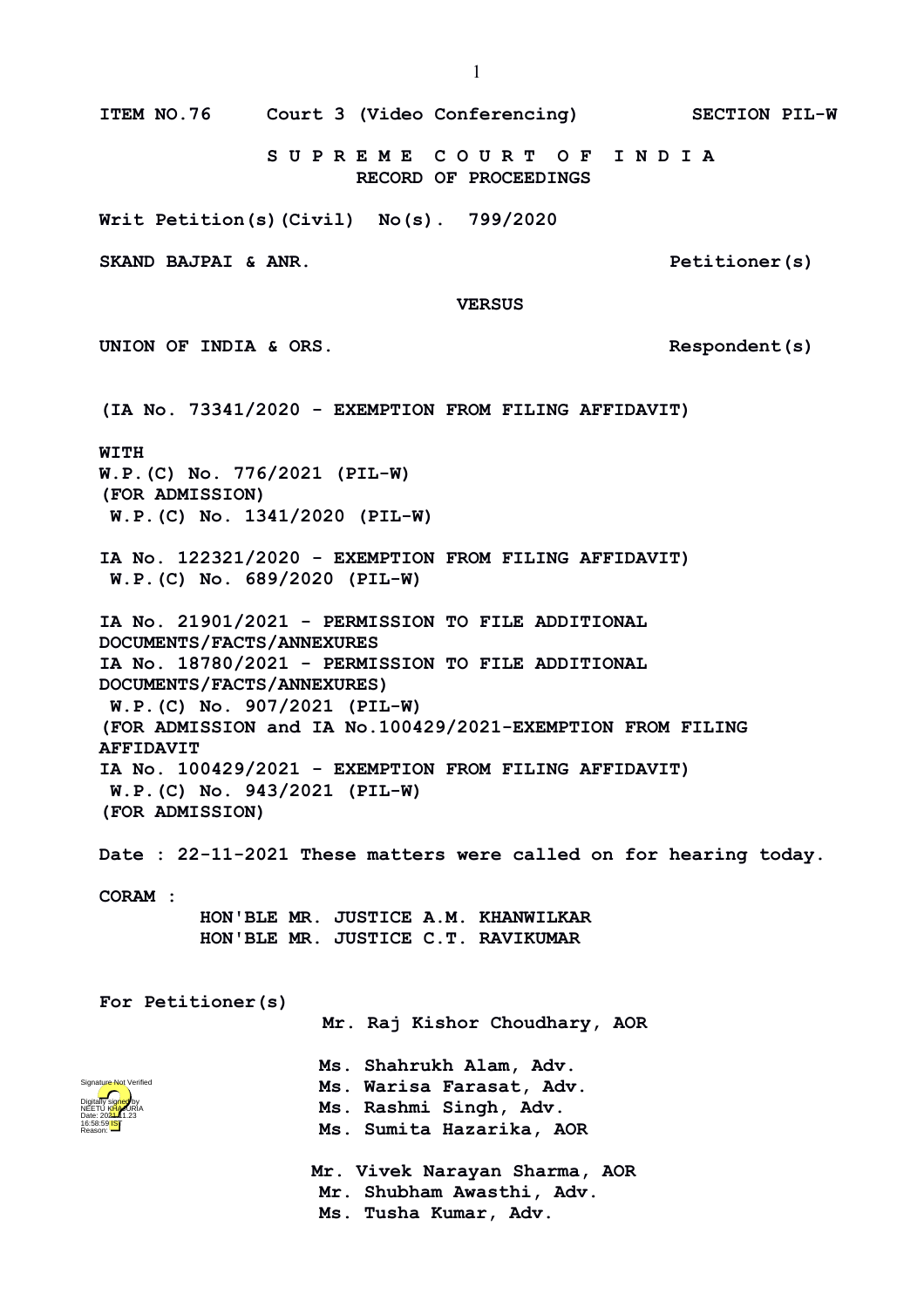**S U P R E M E C O U R T O F I N D I A RECORD OF PROCEEDINGS Writ Petition(s)(Civil) No(s). 799/2020 SKAND BAJPAI & ANR. Petitioner(s) VERSUS UNION OF INDIA & ORS. Respondent(s) (IA No. 73341/2020 - EXEMPTION FROM FILING AFFIDAVIT) WITH W.P.(C) No. 776/2021 (PIL-W) (FOR ADMISSION) W.P.(C) No. 1341/2020 (PIL-W) IA No. 122321/2020 - EXEMPTION FROM FILING AFFIDAVIT) W.P.(C) No. 689/2020 (PIL-W) IA No. 21901/2021 - PERMISSION TO FILE ADDITIONAL DOCUMENTS/FACTS/ANNEXURES IA No. 18780/2021 - PERMISSION TO FILE ADDITIONAL DOCUMENTS/FACTS/ANNEXURES) W.P.(C) No. 907/2021 (PIL-W) (FOR ADMISSION and IA No.100429/2021-EXEMPTION FROM FILING AFFIDAVIT IA No. 100429/2021 - EXEMPTION FROM FILING AFFIDAVIT) W.P.(C) No. 943/2021 (PIL-W) (FOR ADMISSION) Date : 22-11-2021 These matters were called on for hearing today. CORAM : HON'BLE MR. JUSTICE A.M. KHANWILKAR HON'BLE MR. JUSTICE C.T. RAVIKUMAR For Petitioner(s) Mr. Raj Kishor Choudhary, AOR Ms. Shahrukh Alam, Adv. Ms. Warisa Farasat, Adv. Ms. Rashmi Singh, Adv. Ms. Sumita Hazarika, AOR Mr. Vivek Narayan Sharma, AOR Mr. Shubham Awasthi, Adv. Ms. Tusha Kumar, Adv.** Digitally signed by NEETU KHAJURIA Date: 2024.11.23 16:58:59 IST Reason: Signature Not Verified

**ITEM NO.76 Court 3 (Video Conferencing) SECTION PIL-W**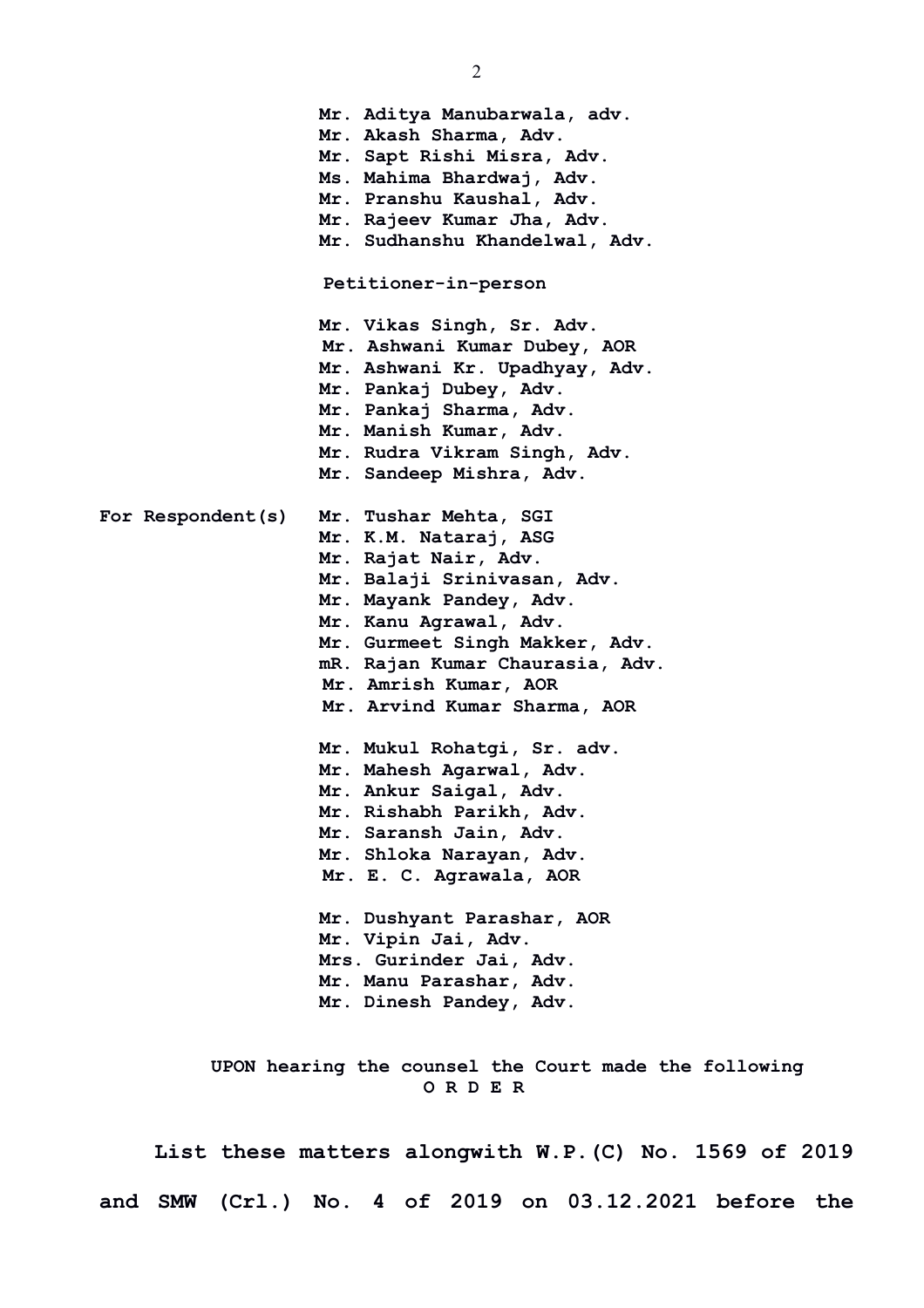**Mr. Aditya Manubarwala, adv. Mr. Akash Sharma, Adv. Mr. Sapt Rishi Misra, Adv. Ms. Mahima Bhardwaj, Adv. Mr. Pranshu Kaushal, Adv. Mr. Rajeev Kumar Jha, Adv. Mr. Sudhanshu Khandelwal, Adv. Petitioner-in-person Mr. Vikas Singh, Sr. Adv. Mr. Ashwani Kumar Dubey, AOR Mr. Ashwani Kr. Upadhyay, Adv. Mr. Pankaj Dubey, Adv. Mr. Pankaj Sharma, Adv. Mr. Manish Kumar, Adv. Mr. Rudra Vikram Singh, Adv. Mr. Sandeep Mishra, Adv. For Respondent(s) Mr. Tushar Mehta, SGI Mr. K.M. Nataraj, ASG Mr. Rajat Nair, Adv. Mr. Balaji Srinivasan, Adv. Mr. Mayank Pandey, Adv. Mr. Kanu Agrawal, Adv. Mr. Gurmeet Singh Makker, Adv. mR. Rajan Kumar Chaurasia, Adv. Mr. Amrish Kumar, AOR Mr. Arvind Kumar Sharma, AOR Mr. Mukul Rohatgi, Sr. adv. Mr. Mahesh Agarwal, Adv. Mr. Ankur Saigal, Adv. Mr. Rishabh Parikh, Adv. Mr. Saransh Jain, Adv. Mr. Shloka Narayan, Adv. Mr. E. C. Agrawala, AOR Mr. Dushyant Parashar, AOR Mr. Vipin Jai, Adv. Mrs. Gurinder Jai, Adv. Mr. Manu Parashar, Adv. Mr. Dinesh Pandey, Adv. UPON hearing the counsel the Court made the following**

**List these matters alongwith W.P.(C) No. 1569 of 2019 and SMW (Crl.) No. 4 of 2019 on 03.12.2021 before the**

 **O R D E R**